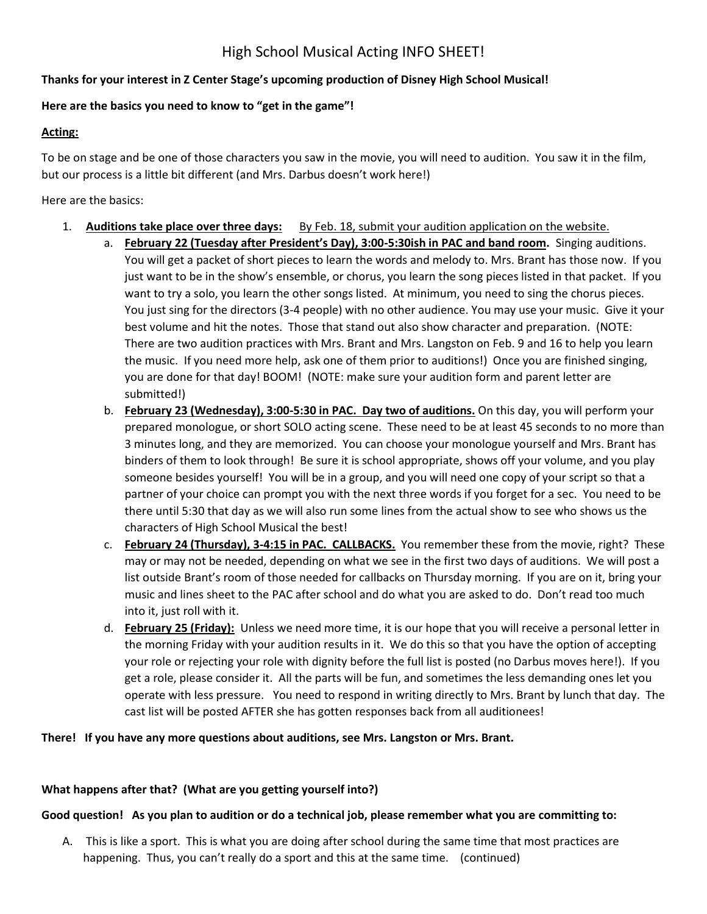# High School Musical Acting INFO SHEET!

# **Thanks for your interest in Z Center Stage's upcoming production of Disney High School Musical!**

# **Here are the basics you need to know to "get in the game"!**

#### **Acting:**

To be on stage and be one of those characters you saw in the movie, you will need to audition. You saw it in the film, but our process is a little bit different (and Mrs. Darbus doesn't work here!)

#### Here are the basics:

- 1. **Auditions take place over three days:** By Feb. 18, submit your audition application on the website.
	- a. **February 22 (Tuesday after President's Day), 3:00-5:30ish in PAC and band room.** Singing auditions. You will get a packet of short pieces to learn the words and melody to. Mrs. Brant has those now. If you just want to be in the show's ensemble, or chorus, you learn the song pieces listed in that packet. If you want to try a solo, you learn the other songs listed. At minimum, you need to sing the chorus pieces. You just sing for the directors (3-4 people) with no other audience. You may use your music. Give it your best volume and hit the notes. Those that stand out also show character and preparation. (NOTE: There are two audition practices with Mrs. Brant and Mrs. Langston on Feb. 9 and 16 to help you learn the music. If you need more help, ask one of them prior to auditions!) Once you are finished singing, you are done for that day! BOOM! (NOTE: make sure your audition form and parent letter are submitted!)
	- b. **February 23 (Wednesday), 3:00-5:30 in PAC. Day two of auditions.** On this day, you will perform your prepared monologue, or short SOLO acting scene. These need to be at least 45 seconds to no more than 3 minutes long, and they are memorized. You can choose your monologue yourself and Mrs. Brant has binders of them to look through! Be sure it is school appropriate, shows off your volume, and you play someone besides yourself! You will be in a group, and you will need one copy of your script so that a partner of your choice can prompt you with the next three words if you forget for a sec. You need to be there until 5:30 that day as we will also run some lines from the actual show to see who shows us the characters of High School Musical the best!
	- c. **February 24 (Thursday), 3-4:15 in PAC. CALLBACKS.** You remember these from the movie, right? These may or may not be needed, depending on what we see in the first two days of auditions. We will post a list outside Brant's room of those needed for callbacks on Thursday morning. If you are on it, bring your music and lines sheet to the PAC after school and do what you are asked to do. Don't read too much into it, just roll with it.
	- d. **February 25 (Friday):** Unless we need more time, it is our hope that you will receive a personal letter in the morning Friday with your audition results in it. We do this so that you have the option of accepting your role or rejecting your role with dignity before the full list is posted (no Darbus moves here!). If you get a role, please consider it. All the parts will be fun, and sometimes the less demanding ones let you operate with less pressure. You need to respond in writing directly to Mrs. Brant by lunch that day. The cast list will be posted AFTER she has gotten responses back from all auditionees!

#### **There! If you have any more questions about auditions, see Mrs. Langston or Mrs. Brant.**

# **What happens after that? (What are you getting yourself into?)**

# **Good question! As you plan to audition or do a technical job, please remember what you are committing to:**

A. This is like a sport. This is what you are doing after school during the same time that most practices are happening. Thus, you can't really do a sport and this at the same time. (continued)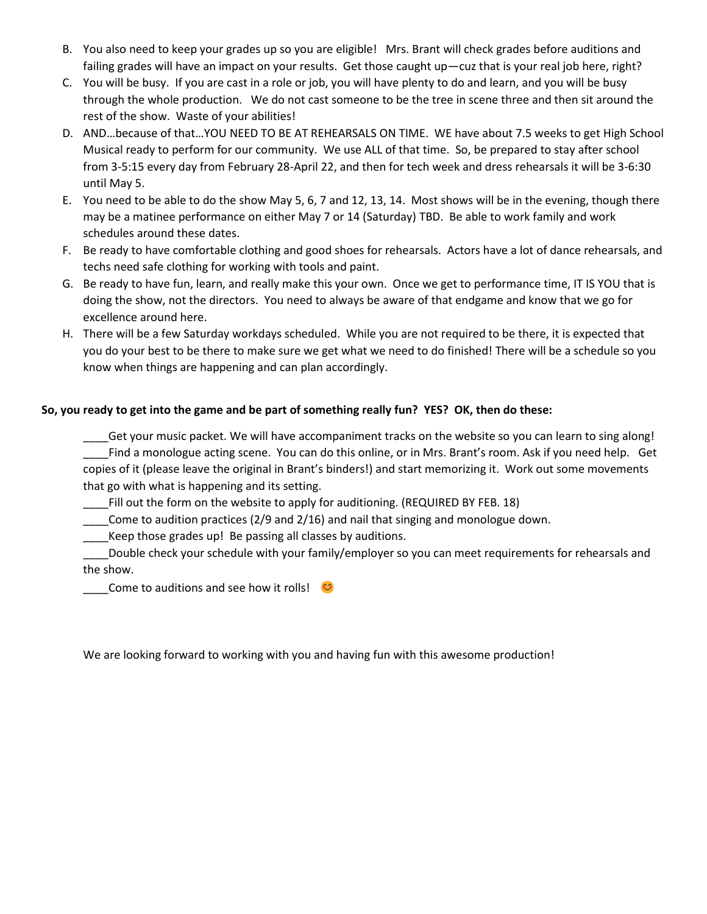- B. You also need to keep your grades up so you are eligible! Mrs. Brant will check grades before auditions and failing grades will have an impact on your results. Get those caught up—cuz that is your real job here, right?
- C. You will be busy. If you are cast in a role or job, you will have plenty to do and learn, and you will be busy through the whole production. We do not cast someone to be the tree in scene three and then sit around the rest of the show. Waste of your abilities!
- D. AND…because of that…YOU NEED TO BE AT REHEARSALS ON TIME. WE have about 7.5 weeks to get High School Musical ready to perform for our community. We use ALL of that time. So, be prepared to stay after school from 3-5:15 every day from February 28-April 22, and then for tech week and dress rehearsals it will be 3-6:30 until May 5.
- E. You need to be able to do the show May 5, 6, 7 and 12, 13, 14. Most shows will be in the evening, though there may be a matinee performance on either May 7 or 14 (Saturday) TBD. Be able to work family and work schedules around these dates.
- F. Be ready to have comfortable clothing and good shoes for rehearsals. Actors have a lot of dance rehearsals, and techs need safe clothing for working with tools and paint.
- G. Be ready to have fun, learn, and really make this your own. Once we get to performance time, IT IS YOU that is doing the show, not the directors. You need to always be aware of that endgame and know that we go for excellence around here.
- H. There will be a few Saturday workdays scheduled. While you are not required to be there, it is expected that you do your best to be there to make sure we get what we need to do finished! There will be a schedule so you know when things are happening and can plan accordingly.

# **So, you ready to get into the game and be part of something really fun? YES? OK, then do these:**

\_\_\_\_Get your music packet. We will have accompaniment tracks on the website so you can learn to sing along! Find a monologue acting scene. You can do this online, or in Mrs. Brant's room. Ask if you need help. Get copies of it (please leave the original in Brant's binders!) and start memorizing it. Work out some movements that go with what is happening and its setting.

Fill out the form on the website to apply for auditioning. (REQUIRED BY FEB. 18)

\_\_\_\_Come to audition practices (2/9 and 2/16) and nail that singing and monologue down.

\_\_\_\_Keep those grades up! Be passing all classes by auditions.

Double check your schedule with your family/employer so you can meet requirements for rehearsals and the show.

Come to auditions and see how it rolls!

We are looking forward to working with you and having fun with this awesome production!